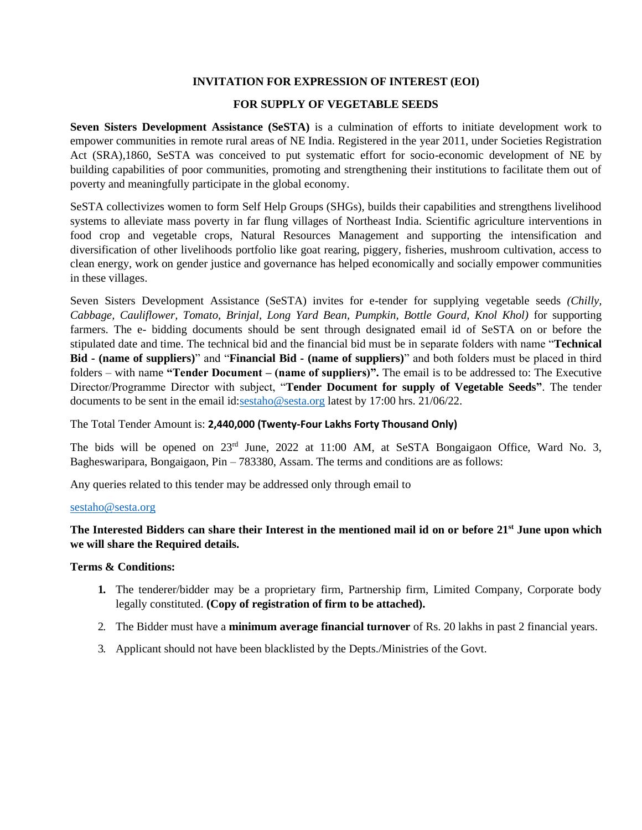### **INVITATION FOR EXPRESSION OF INTEREST (EOI)**

## **FOR SUPPLY OF VEGETABLE SEEDS**

**Seven Sisters Development Assistance (SeSTA)** is a culmination of efforts to initiate development work to empower communities in remote rural areas of NE India. Registered in the year 2011, under Societies Registration Act (SRA),1860, SeSTA was conceived to put systematic effort for socio-economic development of NE by building capabilities of poor communities, promoting and strengthening their institutions to facilitate them out of poverty and meaningfully participate in the global economy.

SeSTA collectivizes women to form Self Help Groups (SHGs), builds their capabilities and strengthens livelihood systems to alleviate mass poverty in far flung villages of Northeast India. Scientific agriculture interventions in food crop and vegetable crops, Natural Resources Management and supporting the intensification and diversification of other livelihoods portfolio like goat rearing, piggery, fisheries, mushroom cultivation, access to clean energy, work on gender justice and governance has helped economically and socially empower communities in these villages.

Seven Sisters Development Assistance (SeSTA) invites for e-tender for supplying vegetable seeds *(Chilly, Cabbage, Cauliflower, Tomato, Brinjal, Long Yard Bean, Pumpkin, Bottle Gourd, Knol Khol)* for supporting farmers. The e- bidding documents should be sent through designated email id of SeSTA on or before the stipulated date and time. The technical bid and the financial bid must be in separate folders with name "**Technical Bid - (name of suppliers)**" and "**Financial Bid - (name of suppliers)**" and both folders must be placed in third folders – with name **"Tender Document – (name of suppliers)".** The email is to be addressed to: The Executive Director/Programme Director with subject, "**Tender Document for supply of Vegetable Seeds"**. The tender documents to be sent in the email id[:sestaho@sesta.org](mailto:sestaho@sesta.org) latest by 17:00 hrs. 21/06/22.

The Total Tender Amount is: **2,440,000 (Twenty-Four Lakhs Forty Thousand Only)**

The bids will be opened on 23<sup>rd</sup> June, 2022 at 11:00 AM, at SeSTA Bongaigaon Office, Ward No. 3, Bagheswaripara, Bongaigaon, Pin – 783380, Assam. The terms and conditions are as follows:

Any queries related to this tender may be addressed only through email to

## [sestaho@sesta.org](mailto:sestaho@sesta.org)

# **The Interested Bidders can share their Interest in the mentioned mail id on or before 21st June upon which we will share the Required details.**

#### **Terms & Conditions:**

- **1.** The tenderer/bidder may be a proprietary firm, Partnership firm, Limited Company, Corporate body legally constituted. **(Copy of registration of firm to be attached).**
- 2. The Bidder must have a **minimum average financial turnover** of Rs. 20 lakhs in past 2 financial years.
- 3. Applicant should not have been blacklisted by the Depts./Ministries of the Govt.